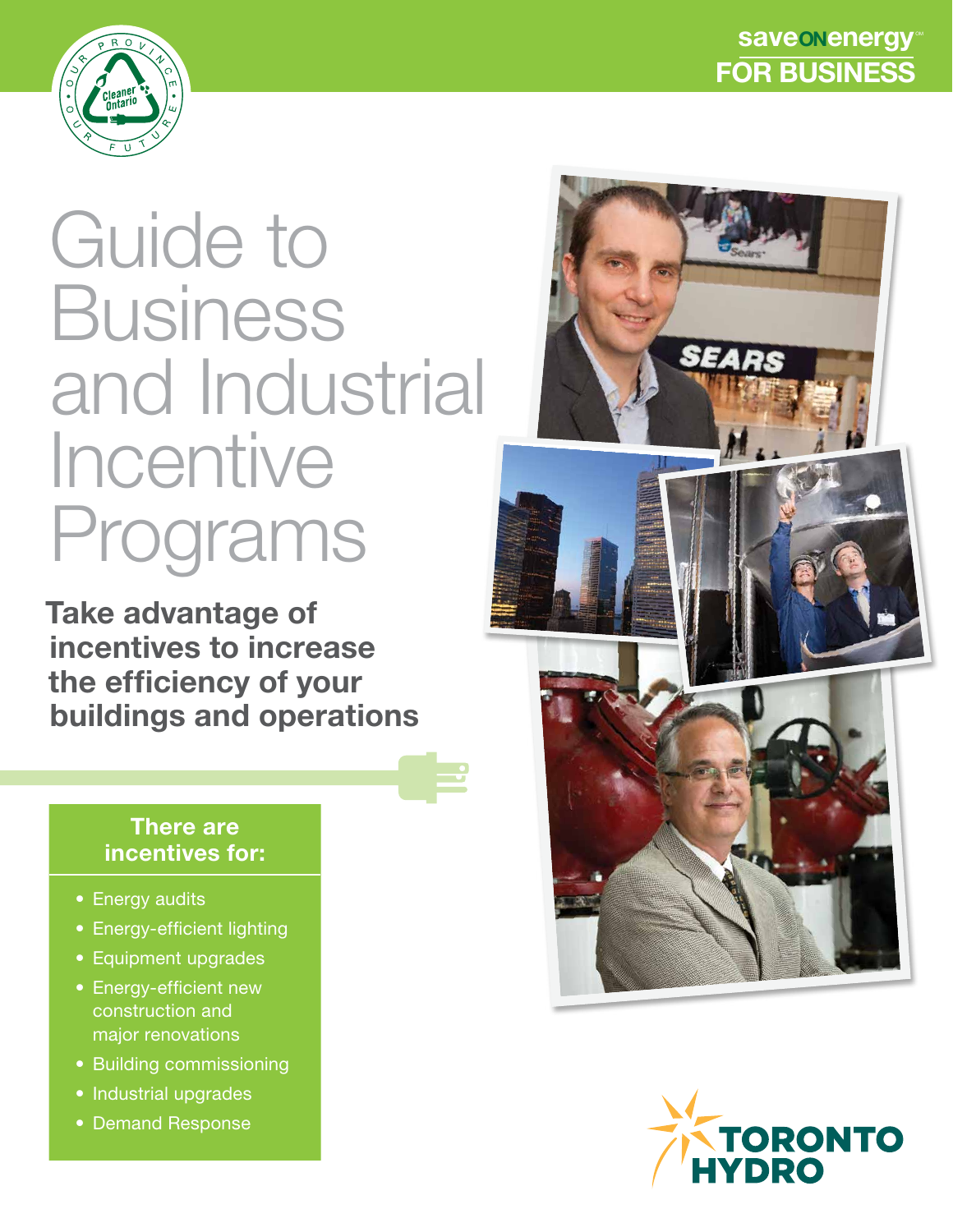## saveonenergy For Business



# Guide to **Business** and Industrial Incentive Programs

Take advantage of incentives to increase the efficiency of your buildings and operations

## There are incentives for:

- Energy audits
- Energy-efficient lighting
- • Equipment upgrades
- Energy-efficient new construction and major renovations
- Building commissioning
- Industrial upgrades
- Demand Response



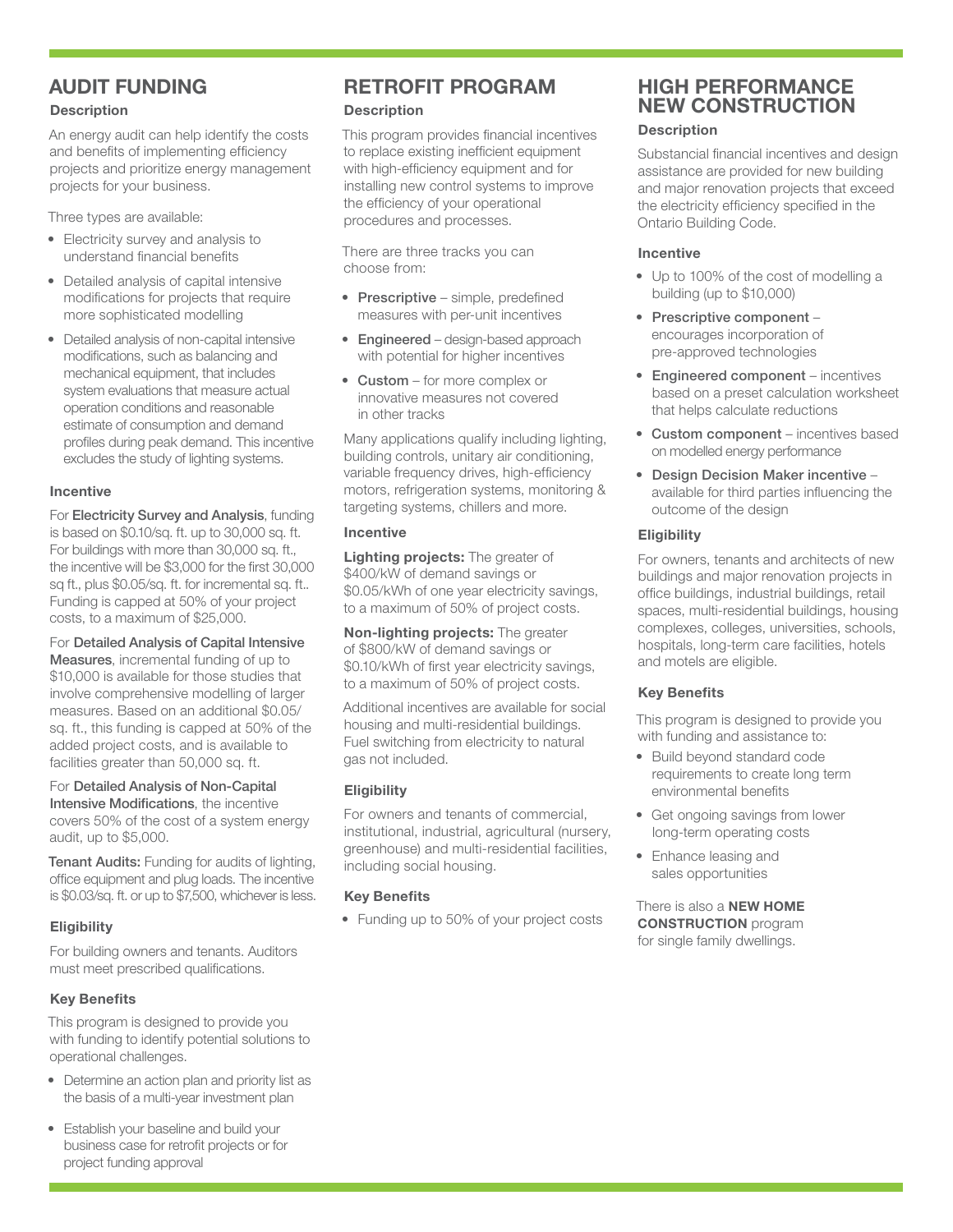## AUDIT FUNDING

#### **Description**

An energy audit can help identify the costs and benefits of implementing efficiency projects and prioritize energy management projects for your business.

Three types are available:

- Electricity survey and analysis to understand financial benefits
- • Detailed analysis of capital intensive modifications for projects that require more sophisticated modelling
- Detailed analysis of non-capital intensive modifications, such as balancing and mechanical equipment, that includes system evaluations that measure actual operation conditions and reasonable estimate of consumption and demand profiles during peak demand. This incentive excludes the study of lighting systems.

#### Incentive

For **Electricity Survey and Analysis**, funding is based on \$0.10/sq. ft. up to 30,000 sq. ft. For buildings with more than 30,000 sq. ft., the incentive will be \$3,000 for the first 30,000 sq ft., plus \$0.05/sq. ft. for incremental sq. ft.. Funding is capped at 50% of your project costs, to a maximum of \$25,000.

For Detailed Analysis of Capital Intensive Measures, incremental funding of up to \$10,000 is available for those studies that involve comprehensive modelling of larger measures. Based on an additional \$0.05/ sq. ft., this funding is capped at 50% of the added project costs, and is available to facilities greater than 50,000 sq. ft.

For Detailed Analysis of Non-Capital Intensive Modifications, the incentive covers 50% of the cost of a system energy audit, up to \$5,000.

Tenant Audits: Funding for audits of lighting, office equipment and plug loads. The incentive is \$0.03/sq. ft. or up to \$7,500, whichever is less.

#### **Eligibility**

For building owners and tenants. Auditors must meet prescribed qualifications.

#### Key Benefits

This program is designed to provide you with funding to identify potential solutions to operational challenges.

- Determine an action plan and priority list as the basis of a multi-year investment plan
- Establish your baseline and build your business case for retrofit projects or for project funding approval

#### RETROFIT PROGRAM **Description**

This program provides financial incentives to replace existing inefficient equipment with high-efficiency equipment and for installing new control systems to improve the efficiency of your operational procedures and processes.

There are three tracks you can choose from:

- Prescriptive simple, predefined measures with per-unit incentives
- Engineered design-based approach with potential for higher incentives
- Custom for more complex or innovative measures not covered in other tracks

Many applications qualify including lighting, building controls, unitary air conditioning, variable frequency drives, high-efficiency motors, refrigeration systems, monitoring & targeting systems, chillers and more.

#### Incentive

Lighting projects: The greater of \$400/kW of demand savings or \$0.05/kWh of one year electricity savings, to a maximum of 50% of project costs.

Non-lighting projects: The greater of \$800/kW of demand savings or \$0.10/kWh of first year electricity savings, to a maximum of 50% of project costs.

Additional incentives are available for social housing and multi-residential buildings. Fuel switching from electricity to natural gas not included.

#### **Eligibility**

For owners and tenants of commercial, institutional, industrial, agricultural (nursery, greenhouse) and multi-residential facilities, including social housing.

#### Key Benefits

• Funding up to 50% of your project costs

## HIGH PERFORMANCE NEW CONSTRUCTION

#### **Description**

Substancial financial incentives and design assistance are provided for new building and major renovation projects that exceed the electricity efficiency specified in the Ontario Building Code.

#### Incentive

- Up to 100% of the cost of modelling a building (up to \$10,000)
- • Prescriptive component encourages incorporation of pre-approved technologies
- Engineered component incentives based on a preset calculation worksheet that helps calculate reductions
- Custom component incentives based on modelled energy performance
- • Design Decision Maker incentive available for third parties influencing the outcome of the design

#### **Eligibility**

For owners, tenants and architects of new buildings and major renovation projects in office buildings, industrial buildings, retail spaces, multi-residential buildings, housing complexes, colleges, universities, schools, hospitals, long-term care facilities, hotels and motels are eligible.

#### Key Benefits

This program is designed to provide you with funding and assistance to:

- Build beyond standard code requirements to create long term environmental benefits
- Get ongoing savings from lower long-term operating costs
- Enhance leasing and sales opportunities

There is also a **NEW HOME CONSTRUCTION** program for single family dwellings.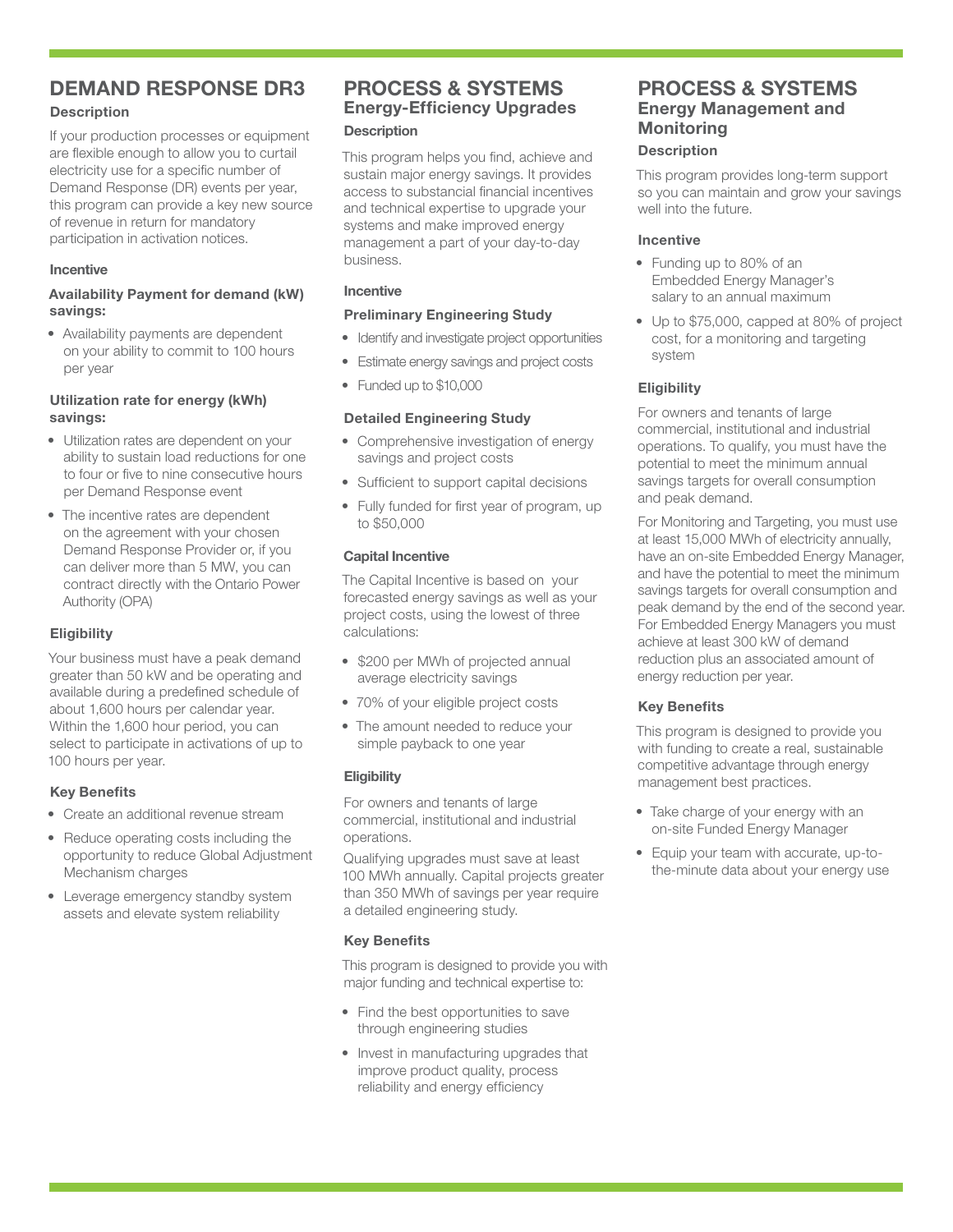## DEMAND RESPONSE DR3

#### **Description**

If your production processes or equipment are flexible enough to allow you to curtail electricity use for a specific number of Demand Response (DR) events per year, this program can provide a key new source of revenue in return for mandatory participation in activation notices.

#### Incentive

#### Availability Payment for demand (kW) savings:

• Availability payments are dependent on your ability to commit to 100 hours per year

#### Utilization rate for energy (kWh) savings:

- Utilization rates are dependent on your ability to sustain load reductions for one to four or five to nine consecutive hours per Demand Response event
- The incentive rates are dependent on the agreement with your chosen Demand Response Provider or, if you can deliver more than 5 MW, you can contract directly with the Ontario Power Authority (OPA)

#### Eligibility

Your business must have a peak demand greater than 50 kW and be operating and available during a predefined schedule of about 1,600 hours per calendar year. Within the 1,600 hour period, you can select to participate in activations of up to 100 hours per year.

#### Key Benefits

- Create an additional revenue stream
- Reduce operating costs including the opportunity to reduce Global Adjustment Mechanism charges
- Leverage emergency standby system assets and elevate system reliability

#### PROCESS & SYSTEMS Energy-Efficiency Upgrades **Description**

This program helps you find, achieve and sustain major energy savings. It provides access to substancial financial incentives and technical expertise to upgrade your systems and make improved energy management a part of your day-to-day business.

#### Incentive

#### Preliminary Engineering Study

- Identify and investigate project opportunities
- Estimate energy savings and project costs
- Funded up to \$10,000

#### Detailed Engineering Study

- Comprehensive investigation of energy savings and project costs
- Sufficient to support capital decisions
- Fully funded for first year of program, up to \$50,000

#### Capital Incentive

The Capital Incentive is based on your forecasted energy savings as well as your project costs, using the lowest of three calculations:

- \$200 per MWh of projected annual average electricity savings
- 70% of your eligible project costs
- The amount needed to reduce your simple payback to one year

#### **Eligibility**

For owners and tenants of large commercial, institutional and industrial operations.

Qualifying upgrades must save at least 100 MWh annually. Capital projects greater than 350 MWh of savings per year require a detailed engineering study.

#### Key Benefits

This program is designed to provide you with major funding and technical expertise to:

- Find the best opportunities to save through engineering studies
- Invest in manufacturing upgrades that improve product quality, process reliability and energy efficiency

### PROCESS & SYSTEMS Energy Management and **Monitoring**

#### **Description**

This program provides long-term support so you can maintain and grow your savings well into the future.

#### Incentive

- Funding up to 80% of an Embedded Energy Manager's salary to an annual maximum
- Up to \$75,000, capped at 80% of project cost, for a monitoring and targeting system

#### **Eligibility**

For owners and tenants of large commercial, institutional and industrial operations. To qualify, you must have the potential to meet the minimum annual savings targets for overall consumption and peak demand.

For Monitoring and Targeting, you must use at least 15,000 MWh of electricity annually, have an on-site Embedded Energy Manager, and have the potential to meet the minimum savings targets for overall consumption and peak demand by the end of the second year. For Embedded Energy Managers you must achieve at least 300 kW of demand reduction plus an associated amount of energy reduction per year.

#### Key Benefits

This program is designed to provide you with funding to create a real, sustainable competitive advantage through energy management best practices.

- Take charge of your energy with an on-site Funded Energy Manager
- Equip your team with accurate, up-tothe-minute data about your energy use